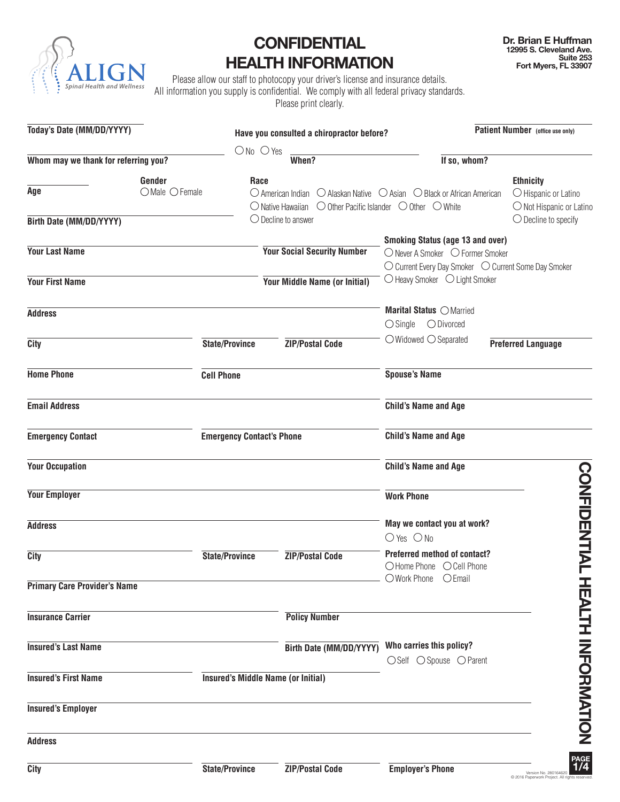

# **CONFIDENTIAL HEALTH INFORMATION**

Please allow our staff to photocopy your driver's license and insurance details. All information you supply is confidential. We comply with all federal privacy standards. Please print clearly.

| Today's Date (MM/DD/YYYY)            |                               |                                           | Have you consulted a chiropractor before? |                                                                                                                                                                                                              | Patient Number (office use only)                                     |
|--------------------------------------|-------------------------------|-------------------------------------------|-------------------------------------------|--------------------------------------------------------------------------------------------------------------------------------------------------------------------------------------------------------------|----------------------------------------------------------------------|
|                                      |                               | $ONo$ $O$ Yes                             |                                           |                                                                                                                                                                                                              |                                                                      |
| Whom may we thank for referring you? |                               | When?                                     |                                           | If so, whom?                                                                                                                                                                                                 |                                                                      |
| Age                                  | Gender<br>$O$ Male $O$ Female | Race                                      |                                           | $\bigcirc$ American Indian $\bigcirc$ Alaskan Native $\bigcirc$ Asian $\bigcirc$ Black or African American<br>$\bigcirc$ Native Hawaiian $\bigcirc$ Other Pacific Islander $\bigcirc$ Other $\bigcirc$ White | <b>Ethnicity</b><br>O Hispanic or Latino<br>O Not Hispanic or Latino |
| Birth Date (MM/DD/YYYY)              |                               | $\bigcirc$ Decline to answer              |                                           |                                                                                                                                                                                                              | $\bigcirc$ Decline to specify                                        |
| <b>Your Last Name</b>                |                               |                                           | <b>Your Social Security Number</b>        | <b>Smoking Status (age 13 and over)</b><br>○ Never A Smoker ○ Former Smoker                                                                                                                                  | ○ Current Every Day Smoker ○ Current Some Day Smoker                 |
| <b>Your First Name</b>               |                               |                                           | Your Middle Name (or Initial)             | $\bigcirc$ Heavy Smoker $\bigcirc$ Light Smoker                                                                                                                                                              |                                                                      |
| <b>Address</b>                       |                               |                                           |                                           | Marital Status O Married<br>$\bigcirc$ Single $\bigcirc$ Divorced                                                                                                                                            |                                                                      |
| City                                 | <b>State/Province</b>         |                                           | <b>ZIP/Postal Code</b>                    | $\bigcirc$ Widowed $\bigcirc$ Separated                                                                                                                                                                      | <b>Preferred Language</b>                                            |
| <b>Home Phone</b>                    | <b>Cell Phone</b>             |                                           |                                           | <b>Spouse's Name</b>                                                                                                                                                                                         |                                                                      |
| <b>Email Address</b>                 |                               |                                           |                                           | <b>Child's Name and Age</b>                                                                                                                                                                                  |                                                                      |
| <b>Emergency Contact</b>             |                               | <b>Emergency Contact's Phone</b>          |                                           | <b>Child's Name and Age</b>                                                                                                                                                                                  |                                                                      |
| <b>Your Occupation</b>               |                               |                                           |                                           | <b>Child's Name and Age</b>                                                                                                                                                                                  |                                                                      |
| <b>Your Employer</b>                 |                               |                                           |                                           | <b>Work Phone</b>                                                                                                                                                                                            |                                                                      |
| <b>Address</b>                       |                               |                                           |                                           | May we contact you at work?<br>$O$ Yes $O$ No                                                                                                                                                                | <b>CONFIDENTIAL</b>                                                  |
| City                                 | <b>State/Province</b>         |                                           | <b>ZIP/Postal Code</b>                    | <b>Preferred method of contact?</b><br>O Home Phone O Cell Phone                                                                                                                                             |                                                                      |
| <b>Primary Care Provider's Name</b>  |                               |                                           |                                           | O Work Phone<br>$O$ Email                                                                                                                                                                                    |                                                                      |
| <b>Insurance Carrier</b>             |                               |                                           | <b>Policy Number</b>                      |                                                                                                                                                                                                              |                                                                      |
| <b>Insured's Last Name</b>           |                               |                                           | Birth Date (MM/DD/YYYY)                   | Who carries this policy?<br>○Self ○ Spouse ○ Parent                                                                                                                                                          |                                                                      |
| <b>Insured's First Name</b>          |                               | <b>Insured's Middle Name (or Initial)</b> |                                           |                                                                                                                                                                                                              |                                                                      |
| <b>Insured's Employer</b>            |                               |                                           |                                           |                                                                                                                                                                                                              | HEALIH INFORMATION                                                   |
| <b>Address</b>                       |                               |                                           |                                           |                                                                                                                                                                                                              |                                                                      |
| City                                 | <b>State/Province</b>         |                                           | <b>ZIP/Postal Code</b>                    | <b>Employer's Phone</b>                                                                                                                                                                                      | PAGE<br>1/4<br>Version No. 280164620<br>@ 2016 Panenwork Project All |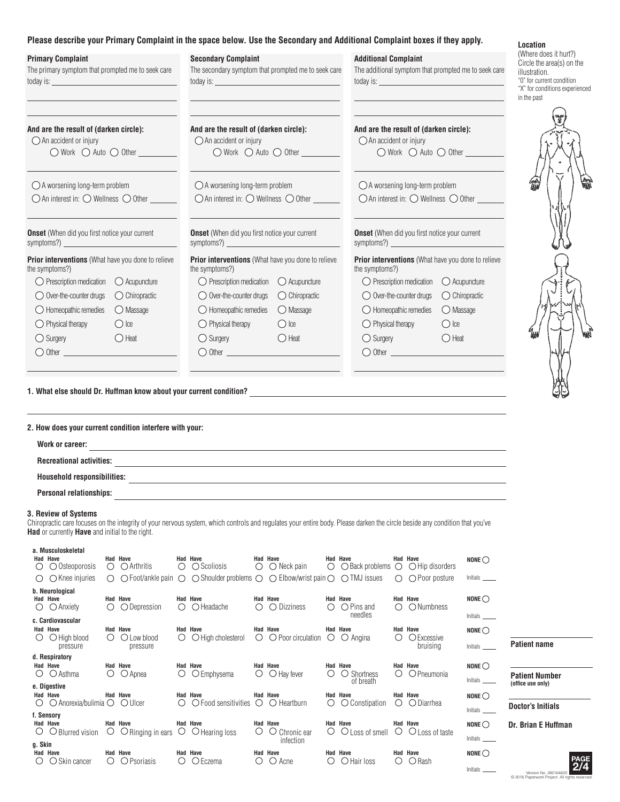## **Please describe your Primary Complaint in the space below. Use the Secondary and Additional Complaint boxes if they apply.**

| <b>Primary Complaint</b><br>The primary symptom that prompted me to seek care | <b>Secondary Complaint</b><br>The secondary symptom that prompted me to seek care | <b>Additional Complaint</b><br>The additional symptom that prompted me to seek care | ( <i>VVIIBIB QUBS ILIIQIL!)</i><br>Circle the area(s) on th<br>illustration.<br>"0" for current condition<br>"X" for conditions experie<br>in the past |
|-------------------------------------------------------------------------------|-----------------------------------------------------------------------------------|-------------------------------------------------------------------------------------|--------------------------------------------------------------------------------------------------------------------------------------------------------|
| And are the result of (darken circle):                                        | And are the result of (darken circle):                                            | And are the result of (darken circle):                                              |                                                                                                                                                        |
| $\bigcirc$ An accident or injury                                              | $\bigcirc$ An accident or injury                                                  | $\bigcirc$ An accident or injury                                                    |                                                                                                                                                        |
|                                                                               |                                                                                   | $\bigcirc$ Work $\bigcirc$ Auto $\bigcirc$ Other $\_\_$                             |                                                                                                                                                        |
| $\bigcirc$ A worsening long-term problem                                      | $\bigcirc$ A worsening long-term problem                                          | $\bigcirc$ A worsening long-term problem                                            |                                                                                                                                                        |
| $\bigcirc$ An interest in: $\bigcirc$ Wellness $\bigcirc$ Other               | $\bigcirc$ An interest in: $\bigcirc$ Wellness $\bigcirc$ Other                   | ○ An interest in: ○ Wellness ○ Other                                                |                                                                                                                                                        |
| <b>Onset</b> (When did you first notice your current                          | <b>Onset</b> (When did you first notice your current                              | <b>Onset</b> (When did you first notice your current                                |                                                                                                                                                        |
|                                                                               | symptoms?) $\frac{1}{2}$                                                          | symptoms?) $\qquad \qquad$                                                          |                                                                                                                                                        |
| <b>Prior interventions</b> (What have you done to relieve                     | <b>Prior interventions</b> (What have you done to relieve                         | Prior interventions (What have you done to relieve                                  |                                                                                                                                                        |
| the symptoms?)                                                                | the symptoms?)                                                                    | the symptoms?)                                                                      |                                                                                                                                                        |
| $\bigcirc$ Prescription medication                                            | $\bigcirc$ Prescription medication                                                | $\bigcirc$ Prescription medication                                                  |                                                                                                                                                        |
| $\bigcirc$ Acupuncture                                                        | $\bigcirc$ Acupuncture                                                            | $\bigcirc$ Acupuncture                                                              |                                                                                                                                                        |
| $\bigcirc$ Over-the-counter drugs                                             | $\bigcirc$ Over-the-counter drugs                                                 | $\bigcirc$ Over-the-counter drugs                                                   |                                                                                                                                                        |
| $\bigcirc$ Chiropractic                                                       | $\bigcirc$ Chiropractic                                                           | $\bigcirc$ Chiropractic                                                             |                                                                                                                                                        |
| $\bigcirc$ Homeopathic remedies                                               | O Massage                                                                         | $\bigcirc$ Massage                                                                  |                                                                                                                                                        |
| O Massage                                                                     | $\bigcirc$ Homeopathic remedies                                                   | $\bigcirc$ Homeopathic remedies                                                     |                                                                                                                                                        |
| $\bigcirc$ Physical therapy                                                   | $\bigcirc$ Physical therapy                                                       | $\bigcirc$ Physical therapy                                                         |                                                                                                                                                        |
| $\bigcirc$ Ice                                                                | $\bigcirc$ lce                                                                    | $\bigcirc$ Ice                                                                      |                                                                                                                                                        |
| $\bigcirc$ Surgery                                                            | $\bigcirc$ Heat                                                                   | $\bigcirc$ Surgery                                                                  |                                                                                                                                                        |
| $\bigcirc$ Heat                                                               | $\bigcirc$ Surgery                                                                | $\bigcirc$ Heat                                                                     |                                                                                                                                                        |
|                                                                               |                                                                                   |                                                                                     |                                                                                                                                                        |
| 1. What else should Dr. Huffman know about your current condition?            |                                                                                   |                                                                                     |                                                                                                                                                        |

#### **2. How does your current condition interfere with your:**

| Work or career:                    |  |  |
|------------------------------------|--|--|
| <b>Recreational activities:</b>    |  |  |
| <b>Household responsibilities:</b> |  |  |
| <b>Personal relationships:</b>     |  |  |

### **3. Review of Systems**

Chiropractic care focuses on the integrity of your nervous system, which controls and regulates your entire body. Please darken the circle beside any condition that you've **Had** or currently **Have** and initial to the right.

| a. Musculoskeletal<br><b>Had Have</b><br>$\bigcirc$ $\bigcirc$ Osteoporosis<br>$\bigcirc$ $\bigcirc$ Knee injuries | <b>Had Have</b><br>$\bigcirc$ $\bigcirc$ Arthritis                                                 | <b>Had Have</b><br>$\circ$ $\circ$ Scoliosis<br>$\circ$ $\circ$ Foot/ankle pain $\circ$ $\circ$ Shoulder problems $\circ$ $\circ$ Elbow/wrist pain $\circ$ $\circ$ TMJ issues | <b>Had Have</b><br>$\bigcirc$ $\bigcirc$ Neck pain                               | <b>Had Have</b>                                                 | <b>Had Have</b><br>$\bigcirc$ $\bigcirc$ Back problems $\bigcirc$ $\bigcirc$ Hip disorders<br>$\bigcirc$ $\bigcirc$ Poor posture | NONE $\bigcirc$<br>Initials ______                                        |
|--------------------------------------------------------------------------------------------------------------------|----------------------------------------------------------------------------------------------------|-------------------------------------------------------------------------------------------------------------------------------------------------------------------------------|----------------------------------------------------------------------------------|-----------------------------------------------------------------|----------------------------------------------------------------------------------------------------------------------------------|---------------------------------------------------------------------------|
| b. Neurological<br><b>Had Have</b><br>$\bigcirc$ $\bigcirc$ Anxiety                                                | <b>Had Have</b><br>◯ Depression<br>∩                                                               | <b>Had Have</b><br>$\bigcirc$ Headache<br>∩                                                                                                                                   | <b>Had Have</b><br>$\bigcirc$ Dizziness<br>$\left( \right)$                      | <b>Had Have</b><br>$\bigcirc$ Pins and<br>∩<br>needles          | <b>Had Have</b><br>$\bigcirc$ Numbness<br>$\bigcirc$                                                                             | $NONE$<br>Initials                                                        |
| c. Cardiovascular<br><b>Had Have</b><br>$\bigcirc$ High blood<br>$\left( \right)$<br>pressure                      | <b>Had Have</b><br>$\bigcirc$ Low blood<br>$\left(\begin{array}{c} \end{array}\right)$<br>pressure | <b>Had Have</b><br>$\bigcirc$ High cholesterol<br>$\bigcirc$                                                                                                                  | <b>Had Have</b><br>$\bigcirc$ $\bigcirc$ Poor circulation                        | <b>Had Have</b><br>$\bigcirc$ $\bigcirc$ Angina                 | <b>Had Have</b><br>OExcessive<br>()<br>bruising                                                                                  | NONE $\bigcirc$<br><b>Patient name</b><br>Initials                        |
| d. Respiratory<br><b>Had Have</b><br>$\circ$ $\circ$ Asthma                                                        | <b>Had Have</b><br>O Apnea<br>$\left( \right)$                                                     | <b>Had Have</b><br>$\bigcirc$ Emphysema<br>$\bigcirc$                                                                                                                         | <b>Had Have</b><br>$\bigcirc$ $\bigcirc$ Hay fever                               | <b>Had Have</b><br>○ Shortness<br>$\left( \right)$<br>of breath | <b>Had Have</b><br>OPneumonia<br>$\left( \right)$                                                                                | NONE $\bigcirc$<br><b>Patient Number</b><br>Initials<br>(office use only) |
| e. Digestive<br>Had Have<br>$\circ$ $\circ$ Anorexia/bulimia $\circ$ $\circ$ Ulcer                                 | Had Have                                                                                           | <b>Had Have</b><br>$\left( \right)$                                                                                                                                           | <b>Had Have</b><br>$\bigcirc$ Food sensitivities $\bigcirc$ $\bigcirc$ Heartburn | Had Have<br>O Constipation<br>O                                 | <b>Had Have</b><br>$\circ$ $\circ$ Diarrhea                                                                                      | NONE $\bigcirc$<br><b>Doctor's Initials</b><br>Initials                   |
| f. Sensory<br>Had Have<br>$\circ$ $\circ$ Blurred vision                                                           | <b>Had Have</b><br>$\circ$ $\circ$ $\circ$ Ringing in ears $\circ$ $\circ$ Hearing loss            | Had Have                                                                                                                                                                      | <b>Had Have</b><br>$\circ$ Chronic ear<br>Ő<br>infection                         | <b>Had Have</b><br>Ő                                            | Had Have<br>$\bigcirc$ Loss of smell $\bigcirc$ $\bigcirc$ Loss of taste                                                         | NONE $\bigcirc$<br>Dr. Brian E Huffman<br>Initials                        |
| g. Skin<br>Had Have<br>$\bigcirc$ Skin cancer<br>( )                                                               | <b>Had Have</b><br>O Psoriasis<br>$\left( \right)$                                                 | <b>Had Have</b><br>$\bigcirc$ Eczema<br>$\left( \right)$                                                                                                                      | <b>Had Have</b><br>$\bigcirc$ Acne<br>$\left( \right)$                           | <b>Had Have</b><br>$\bigcirc$ Hair loss<br>$\left( \right)$     | <b>Had Have</b><br>$\bigcirc$ Rash<br>( )                                                                                        | $NONE$<br><b>PAGE</b><br>2/4<br>Initials                                  |

#### **Location**

(Where does it hurt?) le mced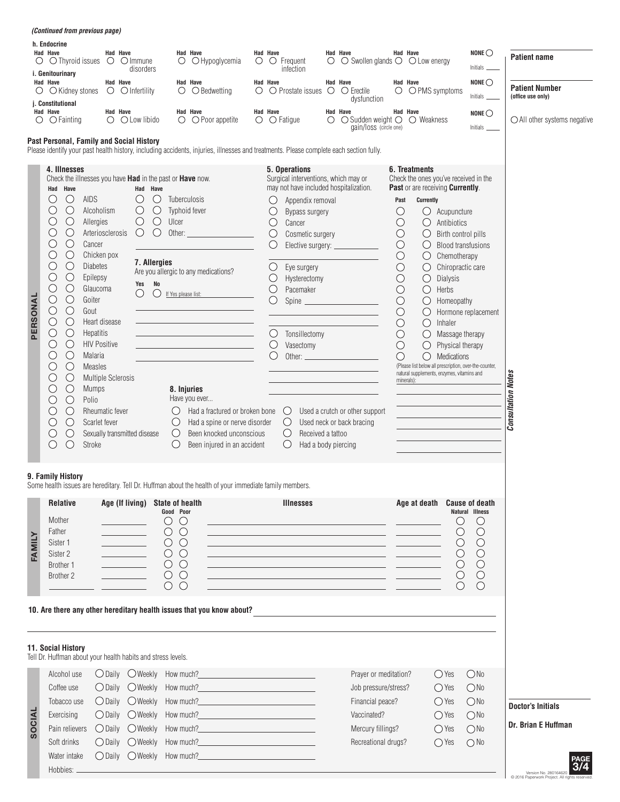|          | <i>(Continued from previous page)</i>                                                                                                                                                                                                                                                                                                                                                                                                                                                                                                                                                                                                                                                                                                                                                                                                                   |                                                                                                                                                                                                                                               |                                                                                                                                                                                                                                 |                                                                                                                                                                                                                                     |          |                                                                                                                                                     |                                                                                                                                                                                                                                                                                                                                                                  |               |                                                                                                                                                                                                                                                                                                                 |                                                                                                                                                                                                          |                                                                                                                                                                                                                                                                                                                                                                                                                                                          |                                                                                                                                                                                         |                                                                              |                                                                  |
|----------|---------------------------------------------------------------------------------------------------------------------------------------------------------------------------------------------------------------------------------------------------------------------------------------------------------------------------------------------------------------------------------------------------------------------------------------------------------------------------------------------------------------------------------------------------------------------------------------------------------------------------------------------------------------------------------------------------------------------------------------------------------------------------------------------------------------------------------------------------------|-----------------------------------------------------------------------------------------------------------------------------------------------------------------------------------------------------------------------------------------------|---------------------------------------------------------------------------------------------------------------------------------------------------------------------------------------------------------------------------------|-------------------------------------------------------------------------------------------------------------------------------------------------------------------------------------------------------------------------------------|----------|-----------------------------------------------------------------------------------------------------------------------------------------------------|------------------------------------------------------------------------------------------------------------------------------------------------------------------------------------------------------------------------------------------------------------------------------------------------------------------------------------------------------------------|---------------|-----------------------------------------------------------------------------------------------------------------------------------------------------------------------------------------------------------------------------------------------------------------------------------------------------------------|----------------------------------------------------------------------------------------------------------------------------------------------------------------------------------------------------------|----------------------------------------------------------------------------------------------------------------------------------------------------------------------------------------------------------------------------------------------------------------------------------------------------------------------------------------------------------------------------------------------------------------------------------------------------------|-----------------------------------------------------------------------------------------------------------------------------------------------------------------------------------------|------------------------------------------------------------------------------|------------------------------------------------------------------|
|          | h. Endocrine<br>Had Have<br>$\circ$ $\circ$ Thyroid issues<br>i. Genitourinary                                                                                                                                                                                                                                                                                                                                                                                                                                                                                                                                                                                                                                                                                                                                                                          | Had Have<br>$\bigcirc$ $\bigcirc$ Immune                                                                                                                                                                                                      | $\circ$<br>disorders                                                                                                                                                                                                            | <b>Had Have</b><br>O Hypoglycemia                                                                                                                                                                                                   | Had Have |                                                                                                                                                     | $\circ$ $\circ$ Frequent<br>infection                                                                                                                                                                                                                                                                                                                            | Had Have<br>О | $\bigcirc$ Swollen glands $\bigcirc$ $\bigcirc$ Low energy                                                                                                                                                                                                                                                      |                                                                                                                                                                                                          | Had Have                                                                                                                                                                                                                                                                                                                                                                                                                                                 |                                                                                                                                                                                         | NONE $\bigcirc$<br>Initials                                                  | <b>Patient name</b>                                              |
| O        | Had Have<br>$\bigcirc$ Kidney stones<br>j. Constitutional                                                                                                                                                                                                                                                                                                                                                                                                                                                                                                                                                                                                                                                                                                                                                                                               | Had Have<br>$\circ$ $\circ$ Infertility                                                                                                                                                                                                       | O                                                                                                                                                                                                                               | Had Have<br>$\bigcirc$ Bedwetting                                                                                                                                                                                                   | Had Have |                                                                                                                                                     | $\circ$ $\circ$ Prostate issues $\circ$                                                                                                                                                                                                                                                                                                                          | Had Have      | $\circ$ Erectile<br>dysfunction                                                                                                                                                                                                                                                                                 |                                                                                                                                                                                                          | Had Have<br>$\bigcirc$ $\bigcirc$ PMS symptoms                                                                                                                                                                                                                                                                                                                                                                                                           |                                                                                                                                                                                         | NONE $\bigcirc$<br>Initials                                                  | <b>Patient Number</b><br>(office use only)                       |
| $\circ$  | Had Have<br>$\bigcirc$ Fainting                                                                                                                                                                                                                                                                                                                                                                                                                                                                                                                                                                                                                                                                                                                                                                                                                         | Had Have<br>$\bigcirc$ $\bigcirc$ Low libido                                                                                                                                                                                                  |                                                                                                                                                                                                                                 | Had Have<br>$\bigcirc$ $\bigcirc$ Poor appetite                                                                                                                                                                                     | Had Have | $\circ$ $\circ$ Fatigue                                                                                                                             |                                                                                                                                                                                                                                                                                                                                                                  | Had Have<br>O | $\bigcirc$ Sudden weight $\bigcirc$<br>gain/loss (circle one)                                                                                                                                                                                                                                                   |                                                                                                                                                                                                          | Had Have<br>◯ Weakness                                                                                                                                                                                                                                                                                                                                                                                                                                   |                                                                                                                                                                                         | NONE $\bigcirc$                                                              | $\bigcirc$ All other systems negative                            |
|          | Past Personal, Family and Social History                                                                                                                                                                                                                                                                                                                                                                                                                                                                                                                                                                                                                                                                                                                                                                                                                |                                                                                                                                                                                                                                               |                                                                                                                                                                                                                                 | Please identify your past health history, including accidents, injuries, illnesses and treatments. Please complete each section fully.                                                                                              |          |                                                                                                                                                     |                                                                                                                                                                                                                                                                                                                                                                  |               |                                                                                                                                                                                                                                                                                                                 |                                                                                                                                                                                                          |                                                                                                                                                                                                                                                                                                                                                                                                                                                          |                                                                                                                                                                                         |                                                                              |                                                                  |
| PERSONAL | 4. Illnesses<br>Check the illnesses you have Had in the past or Have now.<br>Had Have<br>$\bigcirc$<br>AIDS<br>U<br>$\bigcirc$<br>( )<br>Alcoholism<br>$\bigcirc$<br>C<br>Allergies<br>$\bigcirc$<br>O<br>$\bigcirc$<br>O<br>Cancer<br>$\bigcirc$<br>O<br>Chicken pox<br>$\bigcirc$<br>O<br><b>Diabetes</b><br>$\bigcirc$<br>O<br>Epilepsy<br>O<br>$\bigcirc$<br>Glaucoma<br>$\bigcirc$<br>$\bigcirc$<br>Goiter<br>$\bigcirc$<br>$\bigcirc$<br>Gout<br>$\bigcirc$<br>$\bigcirc$<br>Heart disease<br>$\bigcirc$<br>$\bigcirc$<br>Hepatitis<br>$\bigcirc$<br>О<br><b>HIV Positive</b><br>$\bigcirc$<br>$\bigcirc$<br>Malaria<br>$\bigcirc$<br>O<br><b>Measles</b><br>$\bigcirc$<br>O<br>$\bigcirc$<br><b>Mumps</b><br>$\bigcirc$<br>Polio<br>O<br>$\bigcirc$<br>O<br>$\bigcirc$<br>Scarlet fever<br>$\bigcirc$<br>O<br>$\bigcirc$<br>$\bigcirc$<br>Stroke | Arteriosclerosis<br><b>Multiple Sclerosis</b><br>Rheumatic fever<br>Sexually transmitted disease                                                                                                                                              | Had Have<br>$\bigcirc$<br>O<br>$\bigcirc$<br>$\bigcirc$<br>$\bigcirc$<br>$\bigcirc$<br>Ulcer<br>$\bigcirc$<br>O<br>Other:<br>7. Allergies<br>No<br>Yes<br>O<br>( )<br>If Yes please list:<br>$\bigcirc$<br>$\cup$<br>$\bigcirc$ | Tuberculosis<br>Typhoid fever<br>Are you allergic to any medications?<br>8. Injuries<br>Have you ever<br>Had a fractured or broken bone<br>Had a spine or nerve disorder<br>Been knocked unconscious<br>Been injured in an accident |          | O<br>O<br>$\bigcirc$<br>$\bigcirc$<br>O<br>O<br>$\bigcirc$<br>$\bigcirc$<br>O<br>$\bigcirc$<br>$\bigcirc$<br>$\bigcirc$<br>$\bigcirc$<br>$\bigcirc$ | 5. Operations<br>Surgical interventions, which may or<br>may not have included hospitalization.<br>Appendix removal<br>Bypass surgery<br>Cancer<br>Cosmetic surgery<br>Elective surgery: _________<br>Eye surgery<br>Hysterectomy<br>Pacemaker<br>Tonsillectomy<br>Vasectomy<br>Other: $\qquad \qquad$<br>$\bigcirc$<br>Received a tattoo<br>Had a body piercing |               | Spine<br><u> 1980 - Johann Barbara, martxa alemaniar a</u><br>Used a crutch or other support<br>Used neck or back bracing                                                                                                                                                                                       | Past<br>$\bigcirc$<br>$\bigcirc$<br>$\bigcirc$<br>$\bigcirc$<br>$\bigcirc$<br>$\bigcirc$<br>$\bigcirc$<br>$\bigcirc$<br>$\bigcirc$<br>$\bigcirc$<br>$\bigcirc$<br>$\bigcirc$<br>$\bigcirc$<br>$\bigcirc$ | 6. Treatments<br>Check the ones you've received in the<br>Past or are receiving Currently.<br>Currently<br>Ő<br>$\bigcirc$<br>$\bigcirc$<br>$\bigcirc$<br>$\bigcirc$<br>$\bigcirc$<br>$\bigcirc$<br>Dialysis<br>$\bigcirc$<br>Herbs<br>$\bigcirc$<br>$\bigcirc$<br>$\bigcirc$<br>Inhaler<br>$\bigcirc$<br>$\bigcirc$<br>$\bigcirc$<br>(Please list below all prescription, over-the-counter,<br>natural supplements, enzymes, vitamins and<br>minerals): | Acupuncture<br>Antibiotics<br>Birth control pills<br><b>Blood transfusions</b><br>Chemotherapy<br>Chiropractic care<br>Homeopathy<br>Massage therapy<br>Physical therapy<br>Medications | Hormone replacement                                                          | <b>Consultation Notes</b>                                        |
|          | 9. Family History<br><b>Relative</b>                                                                                                                                                                                                                                                                                                                                                                                                                                                                                                                                                                                                                                                                                                                                                                                                                    |                                                                                                                                                                                                                                               | Age (If living) State of health                                                                                                                                                                                                 | Some health issues are hereditary. Tell Dr. Huffman about the health of your immediate family members.                                                                                                                              |          |                                                                                                                                                     | <b>Illnesses</b>                                                                                                                                                                                                                                                                                                                                                 |               |                                                                                                                                                                                                                                                                                                                 |                                                                                                                                                                                                          | Age at death                                                                                                                                                                                                                                                                                                                                                                                                                                             |                                                                                                                                                                                         | <b>Cause of death</b>                                                        |                                                                  |
| FAMILY   | Mother<br>Father<br>Sister 1<br>Sister 2<br>Brother 1<br>Brother 2                                                                                                                                                                                                                                                                                                                                                                                                                                                                                                                                                                                                                                                                                                                                                                                      | $\label{eq:2} \mathcal{L} = \left\{ \begin{array}{ll} \mathcal{L}_{\text{max}} & \mathcal{L}_{\text{max}} \\ \mathcal{L}_{\text{max}} & \mathcal{L}_{\text{max}} \end{array} \right.$<br><u> a serial de la p</u><br>$\overline{\phantom{a}}$ | Good Poor<br>$\bigcirc$<br>$\cup$<br>$\circ$<br>$\circ$<br>$\circlearrowright$<br>$\circlearrowright$<br>$O$ $O$<br>$\bigcirc$<br>$\circ$<br>$\circ$<br>$\circlearrowright$<br>$\circlearrowright$                              |                                                                                                                                                                                                                                     |          |                                                                                                                                                     |                                                                                                                                                                                                                                                                                                                                                                  |               | <u> 1989 - Andrea Stadt Britain, amerikansk politiker (</u><br><u> 1989 - Johann Stoff, Amerikaansk politiker († 1908)</u><br><u> 1989 - Johann Stein, fransk kampbeskip (d. 1989)</u><br><u> 1989 - Johann Stein, marwolaethau a bhann an t-Amhair ann an t-Amhair an t-Amhair an t-Amhair an t-Amhair an </u> |                                                                                                                                                                                                          |                                                                                                                                                                                                                                                                                                                                                                                                                                                          | Natural Illness<br>$\bigcirc$<br>$\bigcirc$<br>O<br>$\bigcirc$<br>$\bigcirc$<br>O                                                                                                       | $\cup$<br>$\bigcirc$<br>$\bigcirc$<br>$\bigcirc$<br>$\bigcirc$<br>$\bigcirc$ |                                                                  |
|          | 11. Social History                                                                                                                                                                                                                                                                                                                                                                                                                                                                                                                                                                                                                                                                                                                                                                                                                                      |                                                                                                                                                                                                                                               |                                                                                                                                                                                                                                 | 10. Are there any other hereditary health issues that you know about?                                                                                                                                                               |          |                                                                                                                                                     |                                                                                                                                                                                                                                                                                                                                                                  |               |                                                                                                                                                                                                                                                                                                                 |                                                                                                                                                                                                          |                                                                                                                                                                                                                                                                                                                                                                                                                                                          |                                                                                                                                                                                         |                                                                              |                                                                  |
|          | Tell Dr. Huffman about your health habits and stress levels.<br>Alcohol use                                                                                                                                                                                                                                                                                                                                                                                                                                                                                                                                                                                                                                                                                                                                                                             |                                                                                                                                                                                                                                               | $\bigcirc$ Daily $\bigcirc$ Weekly How much?                                                                                                                                                                                    |                                                                                                                                                                                                                                     |          |                                                                                                                                                     |                                                                                                                                                                                                                                                                                                                                                                  |               | Prayer or meditation?                                                                                                                                                                                                                                                                                           |                                                                                                                                                                                                          | $\bigcirc$ Yes                                                                                                                                                                                                                                                                                                                                                                                                                                           |                                                                                                                                                                                         | ONO                                                                          |                                                                  |
| SOCIAL   | Coffee use<br>Tobacco use<br>Exercising<br>Pain relievers<br>Soft drinks<br>Water intake                                                                                                                                                                                                                                                                                                                                                                                                                                                                                                                                                                                                                                                                                                                                                                | $\bigcirc$ Daily<br>$\bigcirc$ Daily $\bigcirc$ Weekly<br>$\bigcirc$ Daily                                                                                                                                                                    | $\bigcirc$ Daily $\bigcirc$ Weekly How much?<br>○ Daily ○ Weekly How much?<br>$\bigcirc$ Weekly<br>How much?<br>How much?<br>$\bigcirc$ Weekly<br>How much?<br>◯ Daily ◯ Weekly How much?                                       | <u> 1989 - Johann Barn, mars eta bainar eta idazlea (</u><br>the control of the control of the control of<br><u> 1989 - Johann Barn, mars eta bainar eta baina eta baina eta baina eta baina eta baina eta baina eta baina e</u>    |          |                                                                                                                                                     |                                                                                                                                                                                                                                                                                                                                                                  |               | Job pressure/stress?<br>Financial peace?<br>Vaccinated?<br>Mercury fillings?<br>Recreational drugs?                                                                                                                                                                                                             |                                                                                                                                                                                                          | $\bigcirc$ Yes<br>$\bigcirc$ Yes<br>$\bigcirc$ Yes<br>$\bigcirc$ Yes<br>$\bigcirc$ Yes                                                                                                                                                                                                                                                                                                                                                                   |                                                                                                                                                                                         | ONo<br>ONO<br>ONO<br>ONO<br>$\bigcirc$ No                                    | <b>Doctor's Initials</b><br>Dr. Brian E Huffman                  |
|          | Hobbies: _                                                                                                                                                                                                                                                                                                                                                                                                                                                                                                                                                                                                                                                                                                                                                                                                                                              |                                                                                                                                                                                                                                               |                                                                                                                                                                                                                                 |                                                                                                                                                                                                                                     |          |                                                                                                                                                     |                                                                                                                                                                                                                                                                                                                                                                  |               |                                                                                                                                                                                                                                                                                                                 |                                                                                                                                                                                                          |                                                                                                                                                                                                                                                                                                                                                                                                                                                          |                                                                                                                                                                                         |                                                                              | Version No. 280164620<br>C 2016 Paperwork Project. All rights re |